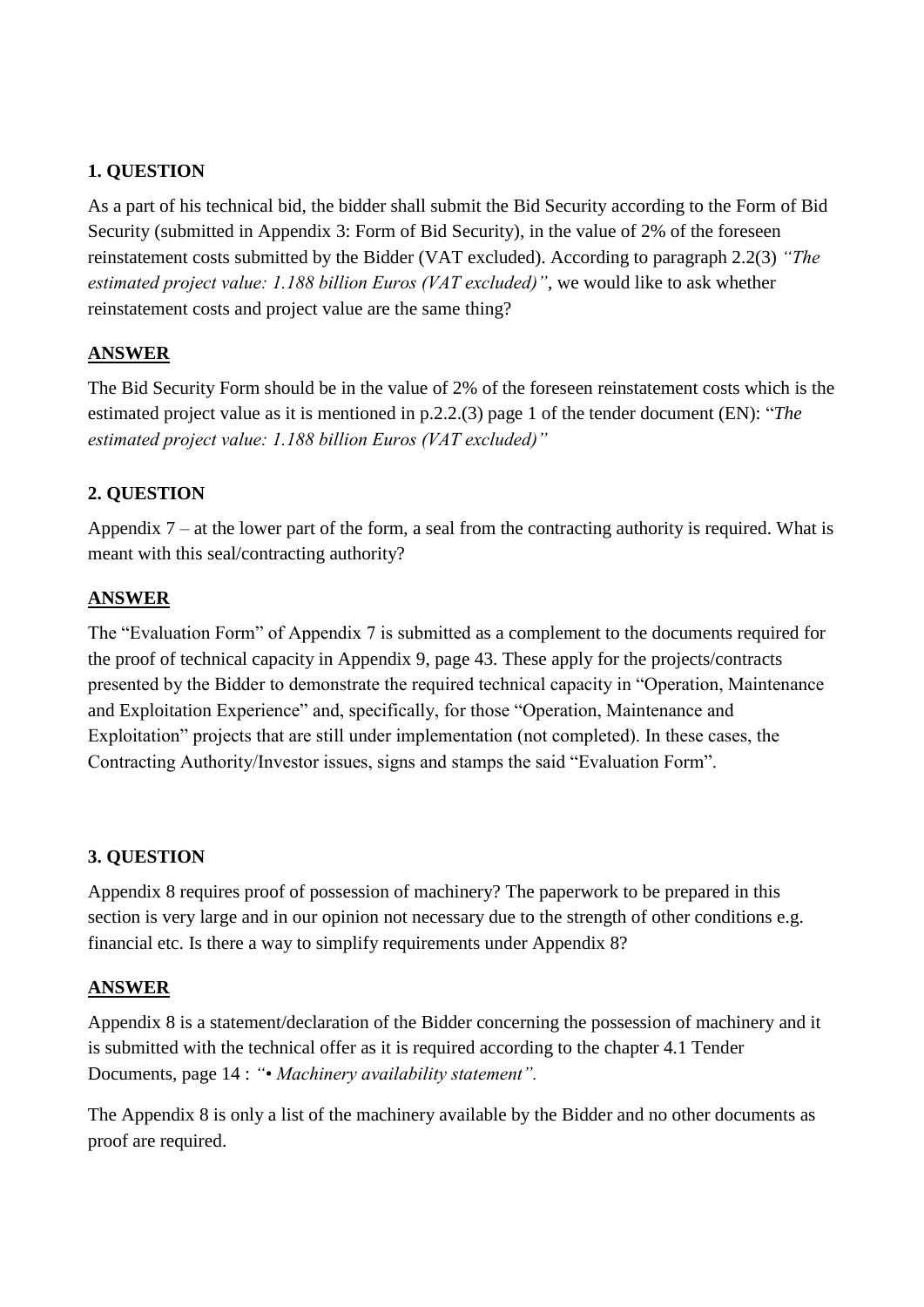As a part of his technical bid, the bidder shall submit the Bid Security according to the Form of Bid Security (submitted in Appendix 3: Form of Bid Security), in the value of 2% of the foreseen reinstatement costs submitted by the Bidder (VAT excluded). According to paragraph 2.2(3) *"The estimated project value: 1.188 billion Euros (VAT excluded)"*, we would like to ask whether reinstatement costs and project value are the same thing?

### **ANSWER**

The Bid Security Form should be in the value of 2% of the foreseen reinstatement costs which is the estimated project value as it is mentioned in p.2.2.(3) page 1 of the tender document (EN): "*The estimated project value: 1.188 billion Euros (VAT excluded)"* 

# **2. QUESTION**

Appendix 7 – at the lower part of the form, a seal from the contracting authority is required. What is meant with this seal/contracting authority?

### **ANSWER**

The "Evaluation Form" of Appendix 7 is submitted as a complement to the documents required for the proof of technical capacity in Appendix 9, page 43. These apply for the projects/contracts presented by the Bidder to demonstrate the required technical capacity in "Operation, Maintenance and Exploitation Experience" and, specifically, for those "Operation, Maintenance and Exploitation" projects that are still under implementation (not completed). In these cases, the Contracting Authority/Investor issues, signs and stamps the said "Evaluation Form".

# **3. QUESTION**

Appendix 8 requires proof of possession of machinery? The paperwork to be prepared in this section is very large and in our opinion not necessary due to the strength of other conditions e.g. financial etc. Is there a way to simplify requirements under Appendix 8?

#### **ANSWER**

Appendix 8 is a statement/declaration of the Bidder concerning the possession of machinery and it is submitted with the technical offer as it is required according to the chapter 4.1 Tender Documents, page 14 : *"• Machinery availability statement".*

The Appendix 8 is only a list of the machinery available by the Bidder and no other documents as proof are required.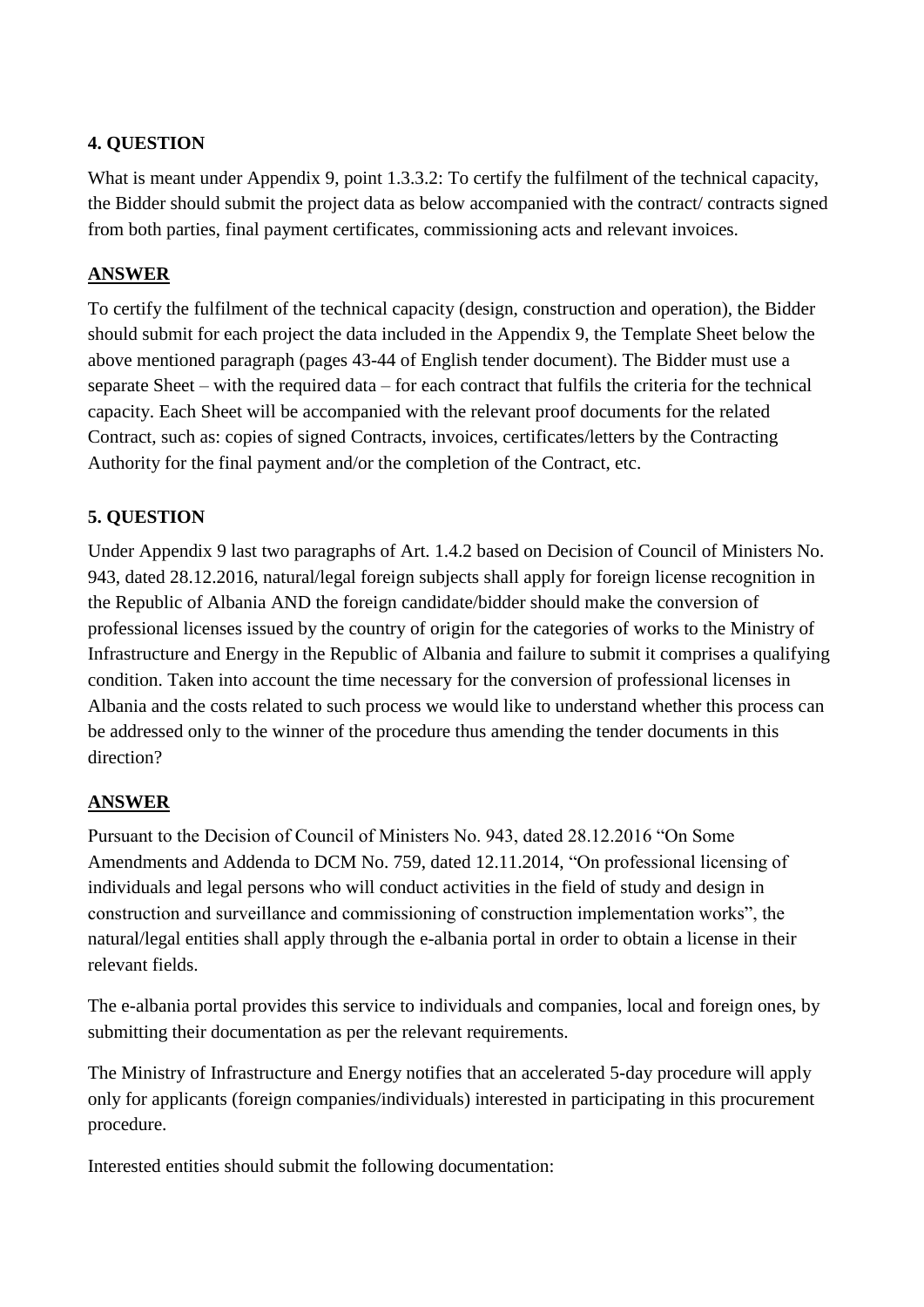What is meant under Appendix 9, point 1.3.3.2: To certify the fulfilment of the technical capacity, the Bidder should submit the project data as below accompanied with the contract/ contracts signed from both parties, final payment certificates, commissioning acts and relevant invoices.

### **ANSWER**

To certify the fulfilment of the technical capacity (design, construction and operation), the Bidder should submit for each project the data included in the Appendix 9, the Template Sheet below the above mentioned paragraph (pages 43-44 of English tender document). The Bidder must use a separate Sheet – with the required data – for each contract that fulfils the criteria for the technical capacity. Each Sheet will be accompanied with the relevant proof documents for the related Contract, such as: copies of signed Contracts, invoices, certificates/letters by the Contracting Authority for the final payment and/or the completion of the Contract, etc.

# **5. QUESTION**

Under Appendix 9 last two paragraphs of Art. 1.4.2 based on Decision of Council of Ministers No. 943, dated 28.12.2016, natural/legal foreign subjects shall apply for foreign license recognition in the Republic of Albania AND the foreign candidate/bidder should make the conversion of professional licenses issued by the country of origin for the categories of works to the Ministry of Infrastructure and Energy in the Republic of Albania and failure to submit it comprises a qualifying condition. Taken into account the time necessary for the conversion of professional licenses in Albania and the costs related to such process we would like to understand whether this process can be addressed only to the winner of the procedure thus amending the tender documents in this direction?

#### **ANSWER**

Pursuant to the Decision of Council of Ministers No. 943, dated 28.12.2016 "On Some Amendments and Addenda to DCM No. 759, dated 12.11.2014, "On professional licensing of individuals and legal persons who will conduct activities in the field of study and design in construction and surveillance and commissioning of construction implementation works", the natural/legal entities shall apply through the e-albania portal in order to obtain a license in their relevant fields.

The e-albania portal provides this service to individuals and companies, local and foreign ones, by submitting their documentation as per the relevant requirements.

The Ministry of Infrastructure and Energy notifies that an accelerated 5-day procedure will apply only for applicants (foreign companies/individuals) interested in participating in this procurement procedure.

Interested entities should submit the following documentation: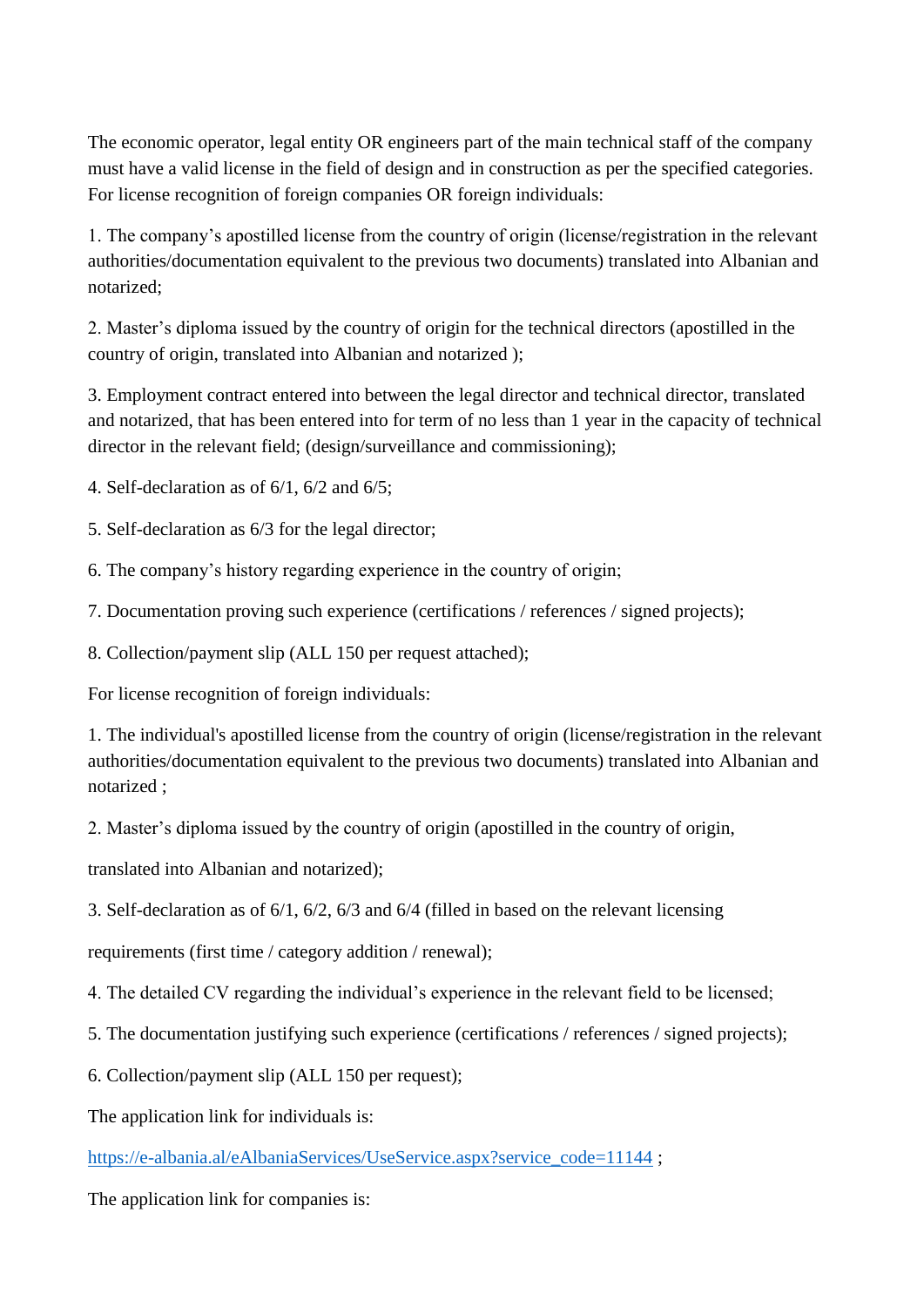The economic operator, legal entity OR engineers part of the main technical staff of the company must have a valid license in the field of design and in construction as per the specified categories. For license recognition of foreign companies OR foreign individuals:

1. The company's apostilled license from the country of origin (license/registration in the relevant authorities/documentation equivalent to the previous two documents) translated into Albanian and notarized;

2. Master's diploma issued by the country of origin for the technical directors (apostilled in the country of origin, translated into Albanian and notarized );

3. Employment contract entered into between the legal director and technical director, translated and notarized, that has been entered into for term of no less than 1 year in the capacity of technical director in the relevant field; (design/surveillance and commissioning);

4. Self-declaration as of 6/1, 6/2 and 6/5;

5. Self-declaration as 6/3 for the legal director;

6. The company's history regarding experience in the country of origin;

7. Documentation proving such experience (certifications / references / signed projects);

8. Collection/payment slip (ALL 150 per request attached);

For license recognition of foreign individuals:

1. The individual's apostilled license from the country of origin (license/registration in the relevant authorities/documentation equivalent to the previous two documents) translated into Albanian and notarized ;

2. Master's diploma issued by the country of origin (apostilled in the country of origin,

translated into Albanian and notarized);

3. Self-declaration as of 6/1, 6/2, 6/3 and 6/4 (filled in based on the relevant licensing

requirements (first time / category addition / renewal);

4. The detailed CV regarding the individual's experience in the relevant field to be licensed;

5. The documentation justifying such experience (certifications / references / signed projects);

6. Collection/payment slip (ALL 150 per request);

The application link for individuals is:

[https://e-albania.al/eAlbaniaServices/UseService.aspx?service\\_code=11144](https://e-albania.al/eAlbaniaServices/UseService.aspx?service_code=11144);

The application link for companies is: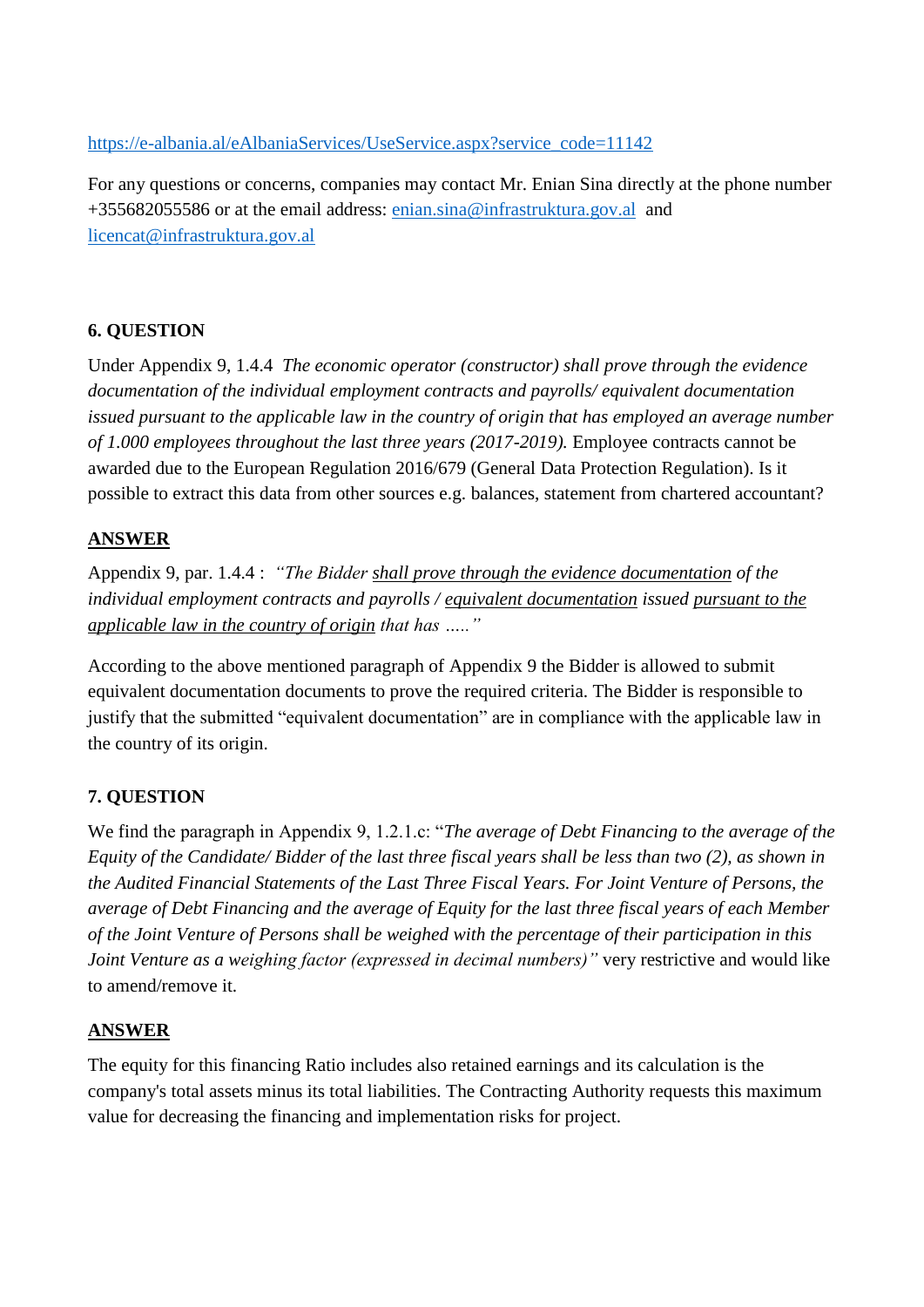#### [https://e-albania.al/eAlbaniaServices/UseService.aspx?service\\_code=11142](https://e-albania.al/eAlbaniaServices/UseService.aspx?service_code=11142)

For any questions or concerns, companies may contact Mr. Enian Sina directly at the phone number +355682055586 or at the email address: [enian.sina@infrastruktura.gov.al](mailto:enian.sina@infrastruktura.gov.al) and [licencat@infrastruktura.gov.al](mailto:licencat@infrastruktura.gov.al)

### **6. QUESTION**

Under Appendix 9, 1.4.4 *The economic operator (constructor) shall prove through the evidence documentation of the individual employment contracts and payrolls/ equivalent documentation issued pursuant to the applicable law in the country of origin that has employed an average number of 1.000 employees throughout the last three years (2017-2019).* Employee contracts cannot be awarded due to the European Regulation 2016/679 (General Data Protection Regulation). Is it possible to extract this data from other sources e.g. balances, statement from chartered accountant?

#### **ANSWER**

Appendix 9, par. 1.4.4 : *"The Bidder shall prove through the evidence documentation of the individual employment contracts and payrolls / equivalent documentation issued pursuant to the applicable law in the country of origin that has ….."*

According to the above mentioned paragraph of Appendix 9 the Bidder is allowed to submit equivalent documentation documents to prove the required criteria. The Bidder is responsible to justify that the submitted "equivalent documentation" are in compliance with the applicable law in the country of its origin.

# **7. QUESTION**

We find the paragraph in Appendix 9, 1.2.1.c: "*The average of Debt Financing to the average of the Equity of the Candidate/ Bidder of the last three fiscal years shall be less than two (2), as shown in the Audited Financial Statements of the Last Three Fiscal Years. For Joint Venture of Persons, the average of Debt Financing and the average of Equity for the last three fiscal years of each Member of the Joint Venture of Persons shall be weighed with the percentage of their participation in this Joint Venture as a weighing factor (expressed in decimal numbers)*" very restrictive and would like to amend/remove it.

#### **ANSWER**

The equity for this financing Ratio includes also retained earnings and its calculation is the company's total assets minus its total liabilities. The Contracting Authority requests this maximum value for decreasing the financing and implementation risks for project.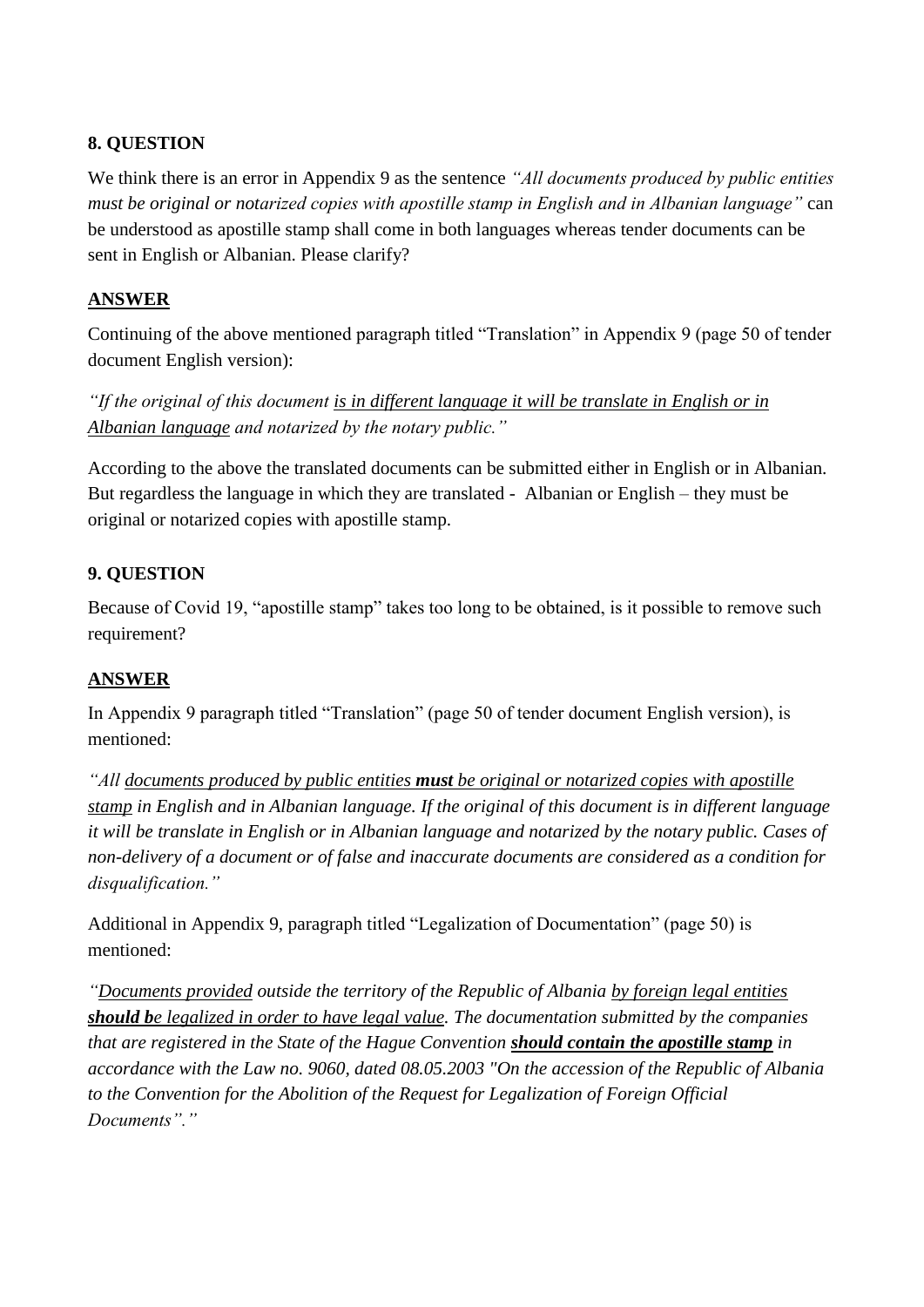We think there is an error in Appendix 9 as the sentence *"All documents produced by public entities must be original or notarized copies with apostille stamp in English and in Albanian language"* can be understood as apostille stamp shall come in both languages whereas tender documents can be sent in English or Albanian. Please clarify?

## **ANSWER**

Continuing of the above mentioned paragraph titled "Translation" in Appendix 9 (page 50 of tender document English version):

*"If the original of this document is in different language it will be translate in English or in Albanian language and notarized by the notary public."*

According to the above the translated documents can be submitted either in English or in Albanian. But regardless the language in which they are translated - Albanian or English – they must be original or notarized copies with apostille stamp.

# **9. QUESTION**

Because of Covid 19, "apostille stamp" takes too long to be obtained, is it possible to remove such requirement?

# **ANSWER**

In Appendix 9 paragraph titled "Translation" (page 50 of tender document English version), is mentioned:

*"All documents produced by public entities must be original or notarized copies with apostille stamp in English and in Albanian language. If the original of this document is in different language it will be translate in English or in Albanian language and notarized by the notary public. Cases of non-delivery of a document or of false and inaccurate documents are considered as a condition for disqualification."*

Additional in Appendix 9, paragraph titled "Legalization of Documentation" (page 50) is mentioned:

*"Documents provided outside the territory of the Republic of Albania by foreign legal entities should be legalized in order to have legal value. The documentation submitted by the companies that are registered in the State of the Hague Convention should contain the apostille stamp in accordance with the Law no. 9060, dated 08.05.2003 "On the accession of the Republic of Albania to the Convention for the Abolition of the Request for Legalization of Foreign Official Documents"."*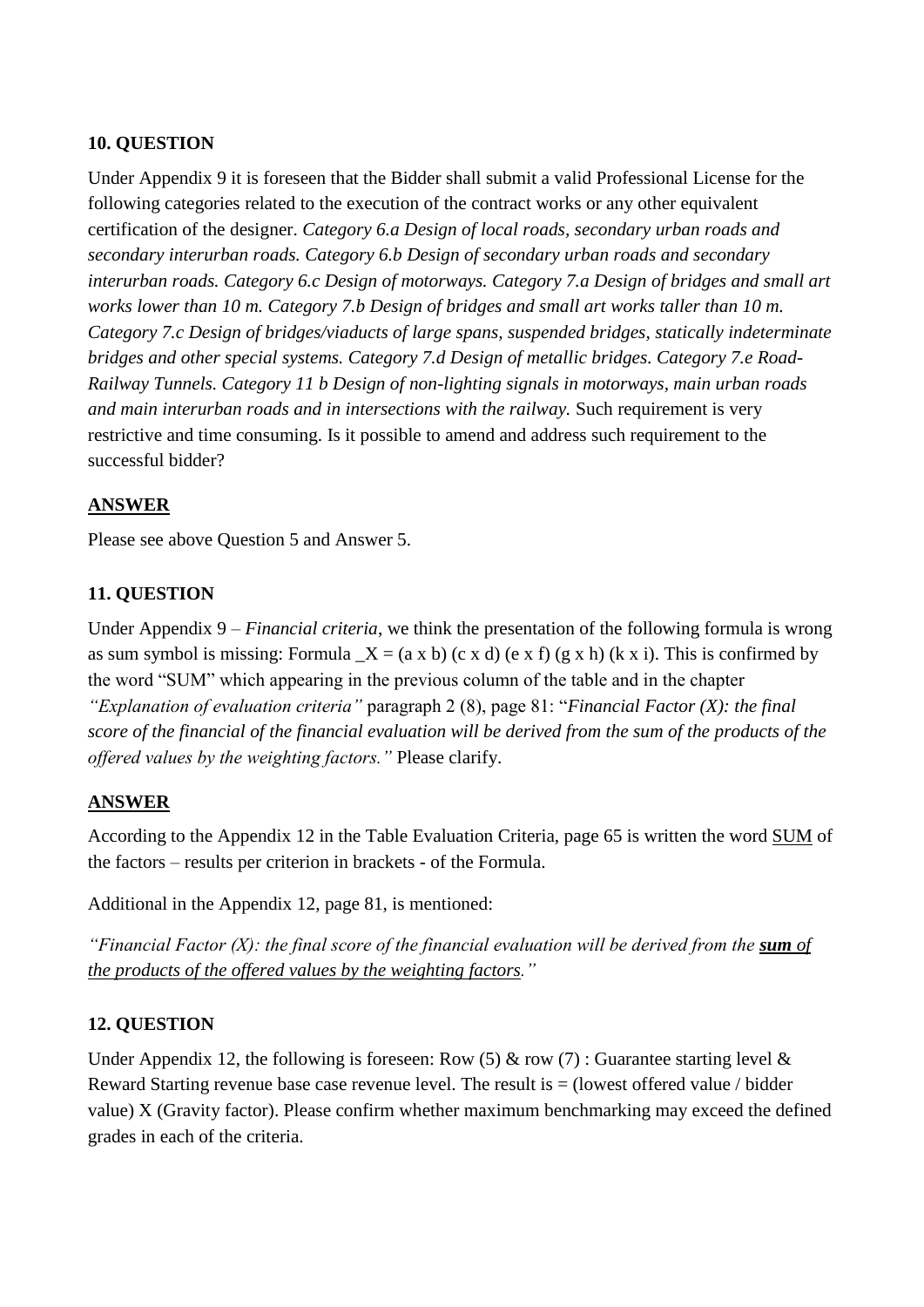Under Appendix 9 it is foreseen that the Bidder shall submit a valid Professional License for the following categories related to the execution of the contract works or any other equivalent certification of the designer. *Category 6.a Design of local roads, secondary urban roads and secondary interurban roads. Category 6.b Design of secondary urban roads and secondary interurban roads. Category 6.c Design of motorways. Category 7.a Design of bridges and small art works lower than 10 m. Category 7.b Design of bridges and small art works taller than 10 m. Category 7.c Design of bridges/viaducts of large spans, suspended bridges, statically indeterminate bridges and other special systems. Category 7.d Design of metallic bridges. Category 7.e Road-Railway Tunnels. Category 11 b Design of non-lighting signals in motorways, main urban roads and main interurban roads and in intersections with the railway.* Such requirement is very restrictive and time consuming. Is it possible to amend and address such requirement to the successful bidder?

### **ANSWER**

Please see above Question 5 and Answer 5.

### **11. QUESTION**

Under Appendix 9 – *Financial criteria*, we think the presentation of the following formula is wrong as sum symbol is missing: Formula  $X = (a \times b)$  (c x d) (e x f) (g x h) (k x i). This is confirmed by the word "SUM" which appearing in the previous column of the table and in the chapter *"Explanation of evaluation criteria"* paragraph 2 (8), page 81: "*Financial Factor (X): the final score of the financial of the financial evaluation will be derived from the sum of the products of the offered values by the weighting factors."* Please clarify.

#### **ANSWER**

According to the Appendix 12 in the Table Evaluation Criteria, page 65 is written the word SUM of the factors – results per criterion in brackets - of the Formula.

Additional in the Appendix 12, page 81, is mentioned:

*"Financial Factor (X): the final score of the financial evaluation will be derived from the sum of the products of the offered values by the weighting factors."*

#### **12. QUESTION**

Under Appendix 12, the following is foreseen: Row (5) & row (7) : Guarantee starting level & Reward Starting revenue base case revenue level. The result is  $=$  (lowest offered value / bidder value) X (Gravity factor). Please confirm whether maximum benchmarking may exceed the defined grades in each of the criteria.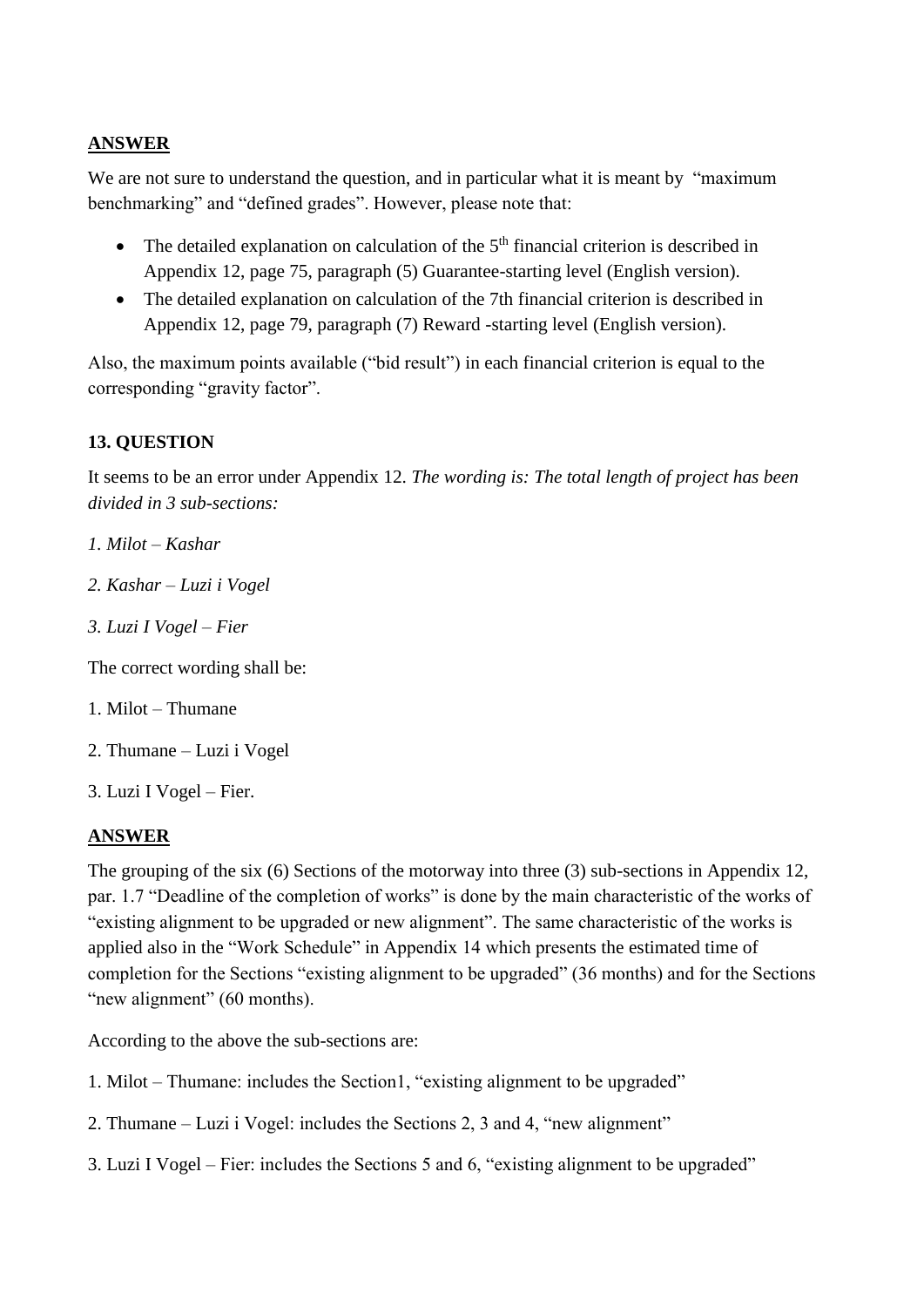# **ANSWER**

We are not sure to understand the question, and in particular what it is meant by "maximum" benchmarking" and "defined grades". However, please note that:

- The detailed explanation on calculation of the  $5<sup>th</sup>$  financial criterion is described in Appendix 12, page 75, paragraph (5) Guarantee-starting level (English version).
- The detailed explanation on calculation of the 7th financial criterion is described in Appendix 12, page 79, paragraph (7) Reward -starting level (English version).

Also, the maximum points available ("bid result") in each financial criterion is equal to the corresponding "gravity factor".

# **13. QUESTION**

It seems to be an error under Appendix 12. *The wording is: The total length of project has been divided in 3 sub-sections:* 

- *1. Milot – Kashar*
- *2. Kashar – Luzi i Vogel*
- *3. Luzi I Vogel – Fier*

The correct wording shall be:

- 1. Milot Thumane
- 2. Thumane Luzi i Vogel
- 3. Luzi I Vogel Fier.

#### **ANSWER**

The grouping of the six (6) Sections of the motorway into three (3) sub-sections in Appendix 12, par. 1.7 "Deadline of the completion of works" is done by the main characteristic of the works of "existing alignment to be upgraded or new alignment". The same characteristic of the works is applied also in the "Work Schedule" in Appendix 14 which presents the estimated time of completion for the Sections "existing alignment to be upgraded" (36 months) and for the Sections "new alignment" (60 months).

According to the above the sub-sections are:

- 1. Milot Thumane: includes the Section1, "existing alignment to be upgraded"
- 2. Thumane Luzi i Vogel: includes the Sections 2, 3 and 4, "new alignment"
- 3. Luzi I Vogel Fier: includes the Sections 5 and 6, "existing alignment to be upgraded"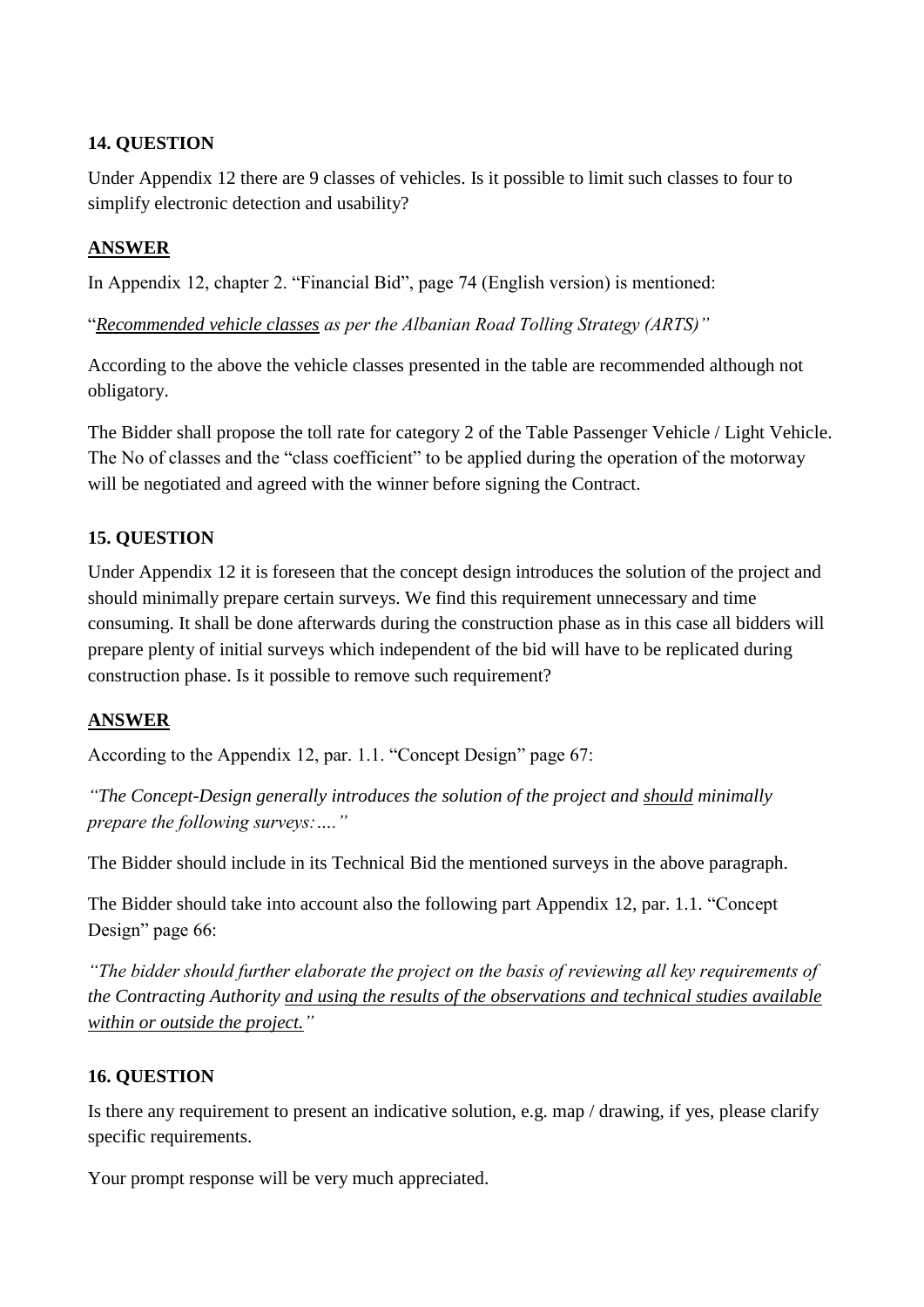Under Appendix 12 there are 9 classes of vehicles. Is it possible to limit such classes to four to simplify electronic detection and usability?

## **ANSWER**

In Appendix 12, chapter 2. "Financial Bid", page 74 (English version) is mentioned:

"*Recommended vehicle classes as per the Albanian Road Tolling Strategy (ARTS)"*

According to the above the vehicle classes presented in the table are recommended although not obligatory.

The Bidder shall propose the toll rate for category 2 of the Table Passenger Vehicle / Light Vehicle. The No of classes and the "class coefficient" to be applied during the operation of the motorway will be negotiated and agreed with the winner before signing the Contract.

### **15. QUESTION**

Under Appendix 12 it is foreseen that the concept design introduces the solution of the project and should minimally prepare certain surveys. We find this requirement unnecessary and time consuming. It shall be done afterwards during the construction phase as in this case all bidders will prepare plenty of initial surveys which independent of the bid will have to be replicated during construction phase. Is it possible to remove such requirement?

#### **ANSWER**

According to the Appendix 12, par. 1.1. "Concept Design" page 67:

*"The Concept-Design generally introduces the solution of the project and should minimally prepare the following surveys:…."*

The Bidder should include in its Technical Bid the mentioned surveys in the above paragraph.

The Bidder should take into account also the following part Appendix 12, par. 1.1. "Concept Design" page 66:

*"The bidder should further elaborate the project on the basis of reviewing all key requirements of the Contracting Authority and using the results of the observations and technical studies available within or outside the project."*

#### **16. QUESTION**

Is there any requirement to present an indicative solution, e.g. map / drawing, if yes, please clarify specific requirements.

Your prompt response will be very much appreciated.